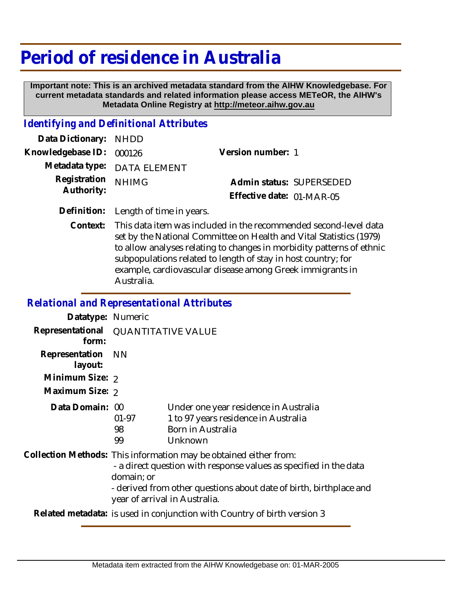## **Period of residence in Australia**

 **Important note: This is an archived metadata standard from the AIHW Knowledgebase. For current metadata standards and related information please access METeOR, the AIHW's Metadata Online Registry at http://meteor.aihw.gov.au**

## *Identifying and Definitional Attributes*

| Data Dictionary: NHDD            |                             |                           |  |
|----------------------------------|-----------------------------|---------------------------|--|
| Knowledgebase ID: 000126         |                             | Version number: 1         |  |
|                                  | Metadata type: DATA ELEMENT |                           |  |
| Registration NHIMG<br>Authority: |                             | Admin status: SUPERSEDED  |  |
|                                  |                             | Effective date: 01-MAR-05 |  |
|                                  |                             |                           |  |

**Definition:** Length of time in years.

This data item was included in the recommended second-level data set by the National Committee on Health and Vital Statistics (1979) to allow analyses relating to changes in morbidity patterns of ethnic subpopulations related to length of stay in host country; for example, cardiovascular disease among Greek immigrants in Australia. **Context:**

## *Relational and Representational Attributes*

| Datatype: Numeric         |                                                                                                                                                                                                                                                             |                                                                                                               |  |
|---------------------------|-------------------------------------------------------------------------------------------------------------------------------------------------------------------------------------------------------------------------------------------------------------|---------------------------------------------------------------------------------------------------------------|--|
| form:                     | Representational QUANTITATIVE VALUE                                                                                                                                                                                                                         |                                                                                                               |  |
| Representation<br>layout: | - NN                                                                                                                                                                                                                                                        |                                                                                                               |  |
| Minimum Size: 2           |                                                                                                                                                                                                                                                             |                                                                                                               |  |
| Maximum Size: 2           |                                                                                                                                                                                                                                                             |                                                                                                               |  |
| Data Domain: 00           | $01-97$<br>98<br>99                                                                                                                                                                                                                                         | Under one year residence in Australia<br>1 to 97 years residence in Australia<br>Born in Australia<br>Unknown |  |
|                           | Collection Methods: This information may be obtained either from:<br>- a direct question with response values as specified in the data<br>domain; or<br>- derived from other questions about date of birth, birthplace and<br>year of arrival in Australia. |                                                                                                               |  |
|                           | Related metadata: is used in conjunction with Country of birth version 3                                                                                                                                                                                    |                                                                                                               |  |
|                           |                                                                                                                                                                                                                                                             |                                                                                                               |  |